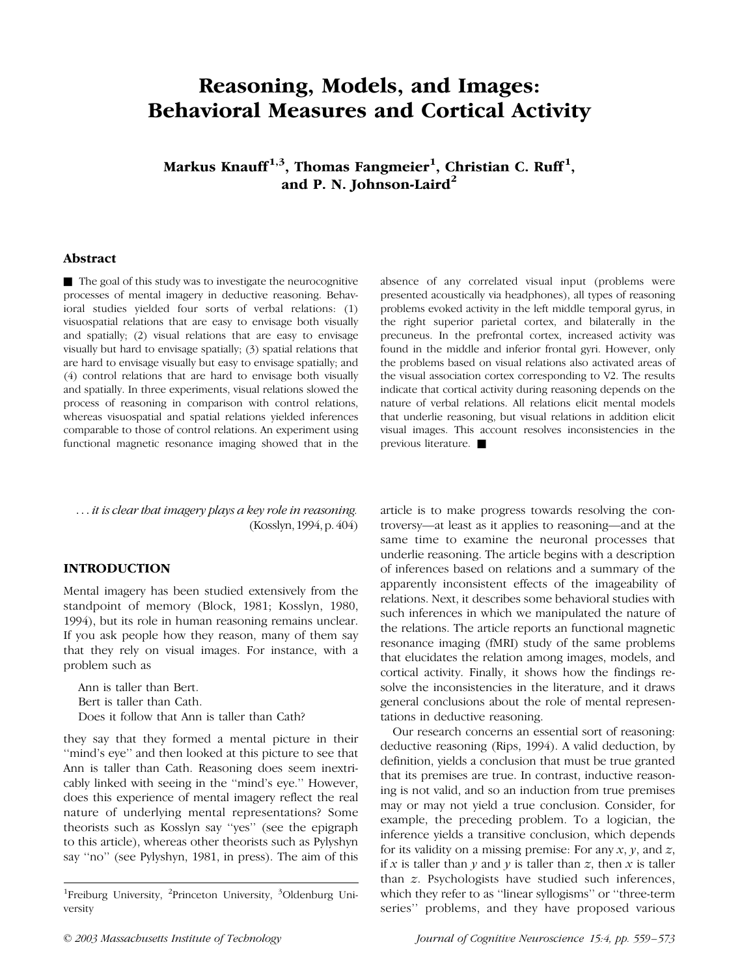# Reasoning, Models, and Images: Behavioral Measures and Cortical Activity

Markus Knauff $^{1,3},$  Thomas Fangmeier $^{1},$  Christian C. Ruff $^{1},$ and P. N. Johnson-Laird<sup>2</sup>

#### Abstract

 $\blacksquare$  The goal of this study was to investigate the neurocognitive processes of mental imagery in deductive reasoning. Behavioral studies yielded four sorts of verbal relations: (1) visuospatial relations that are easy to envisage both visually and spatially; (2) visual relations that are easy to envisage visually but hard to envisage spatially; (3) spatial relations that are hard to envisage visually but easy to envisage spatially; and (4) control relations that are hard to envisage both visually and spatially. In three experiments, visual relations slowed the process of reasoning in comparison with control relations, whereas visuospatial and spatial relations yielded inferences comparable to those of control relations. An experiment using functional magnetic resonance imaging showed that in the

absence of any correlated visual input (problems were presented acoustically via headphones), all types of reasoning problems evoked activity in the left middle temporal gyrus, in the right superior parietal cortex, and bilaterally in the precuneus. In the prefrontal cortex, increased activity was found in the middle and inferior frontal gyri. However, only the problems based on visual relations also activated areas of the visual association cortex corresponding to V2. The results indicate that cortical activity during reasoning depends on the nature of verbal relations. All relations elicit mental models that underlie reasoning, but visual relations in addition elicit visual images. This account resolves inconsistencies in the previous literature.  $\blacksquare$ 

... it is clear that imagery plays a key role in reasoning. (Kosslyn,1994, p. 404)

## INTRODUCTION

Mental imagery has been studied extensively from the standpoint of memory (Block, 1981; Kosslyn, 1980, 1994), but its role in human reasoning remains unclear. If you ask people how they reason, many of them say that they rely on visual images. For instance, with a problem such as

Ann is taller than Bert. Bert is taller than Cath. Does it follow that Ann is taller than Cath?

they say that they formed a mental picture in their ''mind's eye'' and then looked at this picture to see that Ann is taller than Cath. Reasoning does seem inextricably linked with seeing in the ''mind's eye.'' However, does this experience of mental imagery reflect the real nature of underlying mental representations? Some theorists such as Kosslyn say ''yes'' (see the epigraph to this article), whereas other theorists such as Pylyshyn say ''no'' (see Pylyshyn, 1981, in press). The aim of this article is to make progress towards resolving the controversy—at least as it applies to reasoning—and at the same time to examine the neuronal processes that underlie reasoning. The article begins with a description of inferences based on relations and a summary of the apparently inconsistent effects of the imageability of relations. Next, it describes some behavioral studies with such inferences in which we manipulated the nature of the relations. The article reports an functional magnetic resonance imaging (fMRI) study of the same problems that elucidates the relation among images, models, and cortical activity. Finally, it shows how the findings resolve the inconsistencies in the literature, and it draws general conclusions about the role of mental representations in deductive reasoning.

Our research concerns an essential sort of reasoning: deductive reasoning (Rips, 1994). A valid deduction, by definition, yields a conclusion that must be true granted that its premises are true. In contrast, inductive reasoning is not valid, and so an induction from true premises may or may not yield a true conclusion. Consider, for example, the preceding problem. To a logician, the inference yields a transitive conclusion, which depends for its validity on a missing premise: For any  $x$ ,  $y$ , and  $z$ , if x is taller than  $\gamma$  and  $\gamma$  is taller than z, then x is taller than z. Psychologists have studied such inferences, which they refer to as ''linear syllogisms'' or ''three-term series'' problems, and they have proposed various

<sup>&</sup>lt;sup>1</sup>Freiburg University, <sup>2</sup>Princeton University, <sup>3</sup>Oldenburg University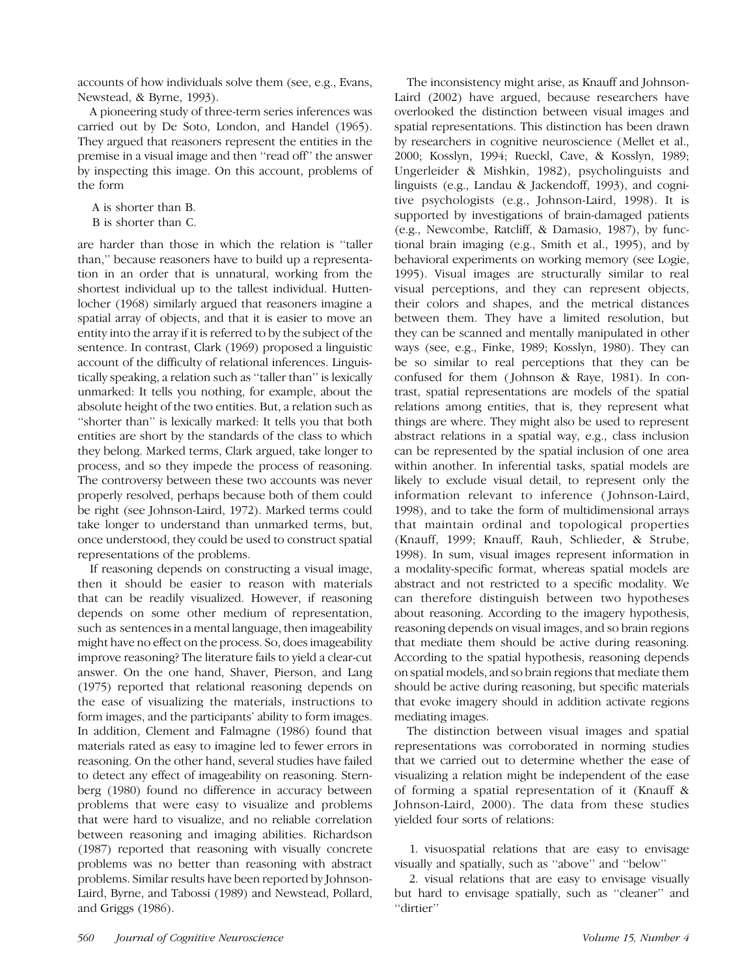accounts of how individuals solve them (see, e.g., Evans, Newstead, & Byrne, 1993).

A pioneering study of three-term series inferences was carried out by De Soto, London, and Handel (1965). They argued that reasoners represent the entities in the premise in a visual image and then ''read off'' the answer by inspecting this image. On this account, problems of the form

A is shorter than B.

B is shorter than C.

are harder than those in which the relation is ''taller than,'' because reasoners have to build up a representation in an order that is unnatural, working from the shortest individual up to the tallest individual. Huttenlocher (1968) similarly argued that reasoners imagine a spatial array of objects, and that it is easier to move an entity into the array if it is referred to by the subject of the sentence. In contrast, Clark (1969) proposed a linguistic account of the difficulty of relational inferences. Linguistically speaking, a relation such as ''taller than'' is lexically unmarked: It tells you nothing, for example, about the absolute height of the two entities. But, a relation such as "shorter than" is lexically marked: It tells you that both entities are short by the standards of the class to which they belong. Marked terms, Clark argued, take longer to process, and so they impede the process of reasoning. The controversy between these two accounts was never properly resolved, perhaps because both of them could be right (see Johnson-Laird, 1972). Marked terms could take longer to understand than unmarked terms, but, once understood, they could be used to construct spatial representations of the problems.

If reasoning depends on constructing a visual image, then it should be easier to reason with materials that can be readily visualized. However, if reasoning depends on some other medium of representation, such as sentences in a mental language, then imageability might have no effect on the process. So, does imageability improve reasoning? The literature fails to yield a clear-cut answer. On the one hand, Shaver, Pierson, and Lang (1975) reported that relational reasoning depends on the ease of visualizing the materials, instructions to form images, and the participants' ability to form images. In addition, Clement and Falmagne (1986) found that materials rated as easy to imagine led to fewer errors in reasoning. On the other hand, several studies have failed to detect any effect of imageability on reasoning. Sternberg (1980) found no difference in accuracy between problems that were easy to visualize and problems that were hard to visualize, and no reliable correlation between reasoning and imaging abilities. Richardson (1987) reported that reasoning with visually concrete problems was no better than reasoning with abstract problems. Similar results have been reported by Johnson-Laird, Byrne, and Tabossi (1989) and Newstead, Pollard, and Griggs (1986).

The inconsistency might arise, as Knauff and Johnson-Laird (2002) have argued, because researchers have overlooked the distinction between visual images and spatial representations. This distinction has been drawn by researchers in cognitive neuroscience (Mellet et al., 2000; Kosslyn, 1994; Rueckl, Cave, & Kosslyn, 1989; Ungerleider & Mishkin, 1982), psycholinguists and linguists (e.g., Landau & Jackendoff, 1993), and cognitive psychologists (e.g., Johnson-Laird, 1998). It is supported by investigations of brain-damaged patients (e.g., Newcombe, Ratcliff, & Damasio, 1987), by functional brain imaging (e.g., Smith et al., 1995), and by behavioral experiments on working memory (see Logie, 1995). Visual images are structurally similar to real visual perceptions, and they can represent objects, their colors and shapes, and the metrical distances between them. They have a limited resolution, but they can be scanned and mentally manipulated in other ways (see, e.g., Finke, 1989; Kosslyn, 1980). They can be so similar to real perceptions that they can be confused for them ( Johnson & Raye, 1981). In contrast, spatial representations are models of the spatial relations among entities, that is, they represent what things are where. They might also be used to represent abstract relations in a spatial way, e.g., class inclusion can be represented by the spatial inclusion of one area within another. In inferential tasks, spatial models are likely to exclude visual detail, to represent only the information relevant to inference ( Johnson-Laird, 1998), and to take the form of multidimensional arrays that maintain ordinal and topological properties (Knauff, 1999; Knauff, Rauh, Schlieder, & Strube, 1998). In sum, visual images represent information in a modality-specific format, whereas spatial models are abstract and not restricted to a specific modality. We can therefore distinguish between two hypotheses about reasoning. According to the imagery hypothesis, reasoning depends on visual images, and so brain regions that mediate them should be active during reasoning. According to the spatial hypothesis, reasoning depends on spatial models, and so brain regions that mediate them should be active during reasoning, but specific materials that evoke imagery should in addition activate regions mediating images.

The distinction between visual images and spatial representations was corroborated in norming studies that we carried out to determine whether the ease of visualizing a relation might be independent of the ease of forming a spatial representation of it (Knauff & Johnson-Laird, 2000). The data from these studies yielded four sorts of relations:

1. visuospatial relations that are easy to envisage visually and spatially, such as ''above'' and ''below''

2. visual relations that are easy to envisage visually but hard to envisage spatially, such as ''cleaner'' and ''dirtier''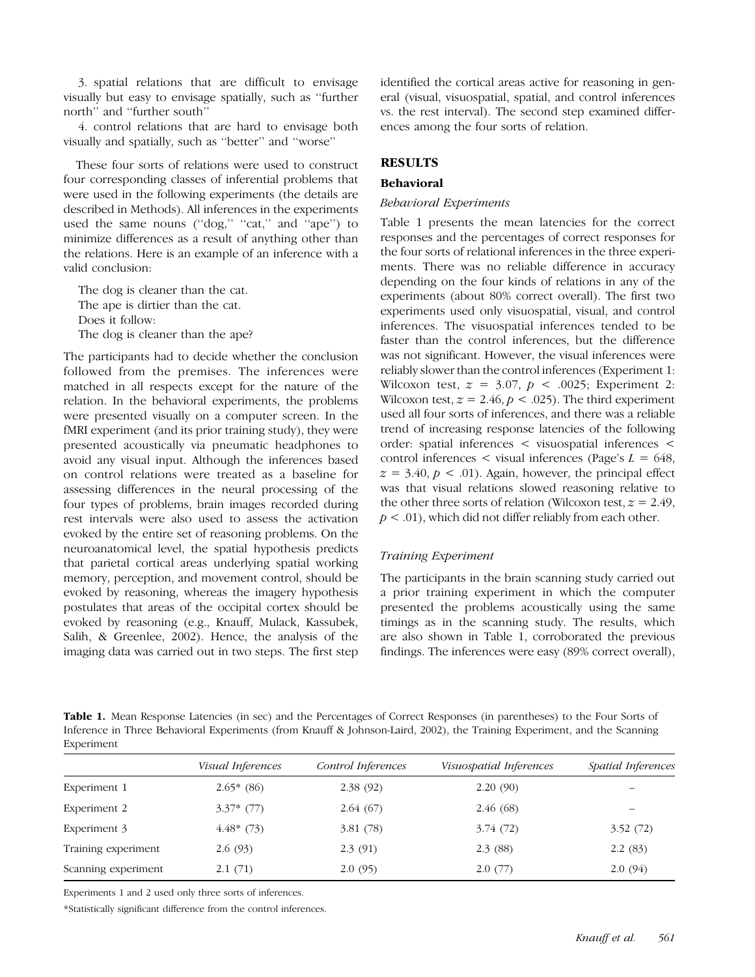3. spatial relations that are difficult to envisage visually but easy to envisage spatially, such as ''further north'' and ''further south''

4. control relations that are hard to envisage both visually and spatially, such as ''better'' and ''worse''

These four sorts of relations were used to construct four corresponding classes of inferential problems that were used in the following experiments (the details are described in Methods). All inferences in the experiments used the same nouns (''dog,'' ''cat,'' and ''ape'') to minimize differences as a result of anything other than the relations. Here is an example of an inference with a valid conclusion:

The dog is cleaner than the cat. The ape is dirtier than the cat. Does it follow: The dog is cleaner than the ape?

The participants had to decide whether the conclusion followed from the premises. The inferences were matched in all respects except for the nature of the relation. In the behavioral experiments, the problems were presented visually on a computer screen. In the fMRI experiment (and its prior training study), they were presented acoustically via pneumatic headphones to avoid any visual input. Although the inferences based on control relations were treated as a baseline for assessing differences in the neural processing of the four types of problems, brain images recorded during rest intervals were also used to assess the activation evoked by the entire set of reasoning problems. On the neuroanatomical level, the spatial hypothesis predicts that parietal cortical areas underlying spatial working memory, perception, and movement control, should be evoked by reasoning, whereas the imagery hypothesis postulates that areas of the occipital cortex should be evoked by reasoning (e.g., Knauff, Mulack, Kassubek, Salih, & Greenlee, 2002). Hence, the analysis of the imaging data was carried out in two steps. The first step

identified the cortical areas active for reasoning in general (visual, visuospatial, spatial, and control inferences vs. the rest interval). The second step examined differences among the four sorts of relation.

# **RESULTS**

# Behavioral

#### Behavioral Experiments

Table 1 presents the mean latencies for the correct responses and the percentages of correct responses for the four sorts of relational inferences in the three experiments. There was no reliable difference in accuracy depending on the four kinds of relations in any of the experiments (about 80% correct overall). The first two experiments used only visuospatial, visual, and control inferences. The visuospatial inferences tended to be faster than the control inferences, but the difference was not significant. However, the visual inferences were reliably slower than the control inferences (Experiment 1: Wilcoxon test,  $z = 3.07$ ,  $p < .0025$ ; Experiment 2: Wilcoxon test,  $z = 2.46$ ,  $p < .025$ ). The third experiment used all four sorts of inferences, and there was a reliable trend of increasing response latencies of the following order: spatial inferences < visuospatial inferences < control inferences  $\lt$  visual inferences (Page's  $L = 648$ ,  $z = 3.40, p < .01$ . Again, however, the principal effect was that visual relations slowed reasoning relative to the other three sorts of relation (Wilcoxon test,  $z = 2.49$ ,  $p < .01$ ), which did not differ reliably from each other.

## Training Experiment

The participants in the brain scanning study carried out a prior training experiment in which the computer presented the problems acoustically using the same timings as in the scanning study. The results, which are also shown in Table 1, corroborated the previous findings. The inferences were easy (89% correct overall),

Table 1. Mean Response Latencies (in sec) and the Percentages of Correct Responses (in parentheses) to the Four Sorts of Inference in Three Behavioral Experiments (from Knauff & Johnson-Laird, 2002), the Training Experiment, and the Scanning Experiment

|                     | Visual Inferences | Control Inferences | Visuospatial Inferences | Spatial Inferences |
|---------------------|-------------------|--------------------|-------------------------|--------------------|
| Experiment 1        | $2.65*$ (86)      | 2.38(92)           | 2.20(90)                |                    |
| Experiment 2        | $3.37*$ (77)      | 2.64(67)           | 2.46(68)                | -                  |
| Experiment 3        | $4.48*(73)$       | 3.81(78)           | 3.74(72)                | 3.52(72)           |
| Training experiment | 2.6(93)           | 2.3(91)            | 2.3(88)                 | 2.2(83)            |
| Scanning experiment | 2.1(71)           | 2.0(95)            | 2.0(77)                 | 2.0(94)            |

Experiments 1 and 2 used only three sorts of inferences.

\*Statistically significant difference from the control inferences.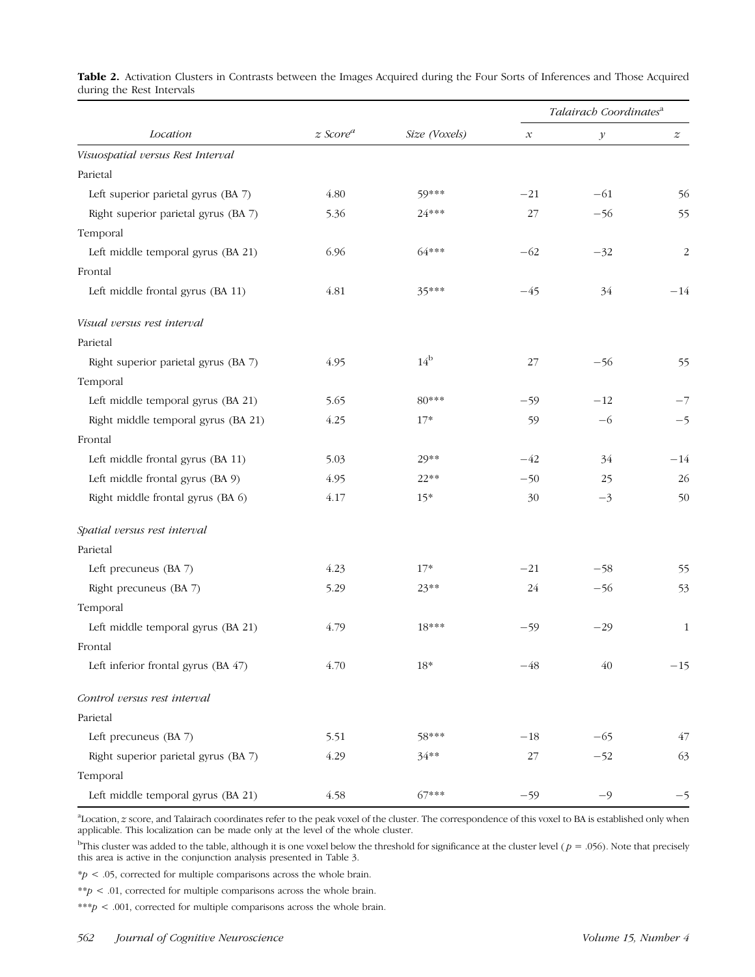|                                      |                        |               | Talairach Coordinates <sup>a</sup> |              |                  |
|--------------------------------------|------------------------|---------------|------------------------------------|--------------|------------------|
| Location                             | $z$ Score <sup>a</sup> | Size (Voxels) | $\mathcal{X}% _{0}$                | $\mathcal Y$ | $\boldsymbol{z}$ |
| Visuospatial versus Rest Interval    |                        |               |                                    |              |                  |
| Parietal                             |                        |               |                                    |              |                  |
| Left superior parietal gyrus (BA 7)  | 4.80                   | 59***         | $-21$                              | $-61$        | 56               |
| Right superior parietal gyrus (BA 7) | 5.36                   | $24***$       | 27                                 | $-56$        | 55               |
| Temporal                             |                        |               |                                    |              |                  |
| Left middle temporal gyrus (BA 21)   | 6.96                   | $64***$       | $-62$                              | $-32$        | $\overline{2}$   |
| Frontal                              |                        |               |                                    |              |                  |
| Left middle frontal gyrus (BA 11)    | 4.81                   | 35***         | $-45$                              | 34           | $-14$            |
| Visual versus rest interval          |                        |               |                                    |              |                  |
| Parietal                             |                        |               |                                    |              |                  |
| Right superior parietal gyrus (BA 7) | 4.95                   | $14^{\rm b}$  | 27                                 | $-56$        | 55               |
| Temporal                             |                        |               |                                    |              |                  |
| Left middle temporal gyrus (BA 21)   | 5.65                   | 80***         | $-59$                              | $-12$        | $-7$             |
| Right middle temporal gyrus (BA 21)  | 4.25                   | $17*$         | 59                                 | $-6$         | $-5$             |
| Frontal                              |                        |               |                                    |              |                  |
| Left middle frontal gyrus (BA 11)    | 5.03                   | $29**$        | $-42$                              | 34           | $-14$            |
| Left middle frontal gyrus (BA 9)     | 4.95                   | $22**$        | $-50$                              | 25           | 26               |
| Right middle frontal gyrus (BA 6)    | 4.17                   | $15*$         | 30                                 | $-3$         | 50               |
| Spatial versus rest interval         |                        |               |                                    |              |                  |
| Parietal                             |                        |               |                                    |              |                  |
| Left precuneus (BA 7)                | 4.23                   | $17*$         | $-21$                              | $-58$        | 55               |
| Right precuneus (BA 7)               | 5.29                   | $23**$        | 24                                 | $-56$        | 53               |
| Temporal                             |                        |               |                                    |              |                  |
| Left middle temporal gyrus (BA 21)   | 4.79                   | 18***         | $-59$                              | $-29$        | $\mathbf{1}$     |
| Frontal                              |                        |               |                                    |              |                  |
| Left inferior frontal gyrus (BA 47)  | 4.70                   | $18*$         | $-48$                              | 40           | $-15$            |
| Control versus rest interval         |                        |               |                                    |              |                  |
| Parietal                             |                        |               |                                    |              |                  |
| Left precuneus (BA 7)                | 5.51                   | 58***         | $-18$                              | $-65$        | 47               |
| Right superior parietal gyrus (BA 7) | 4.29                   | $34***$       | 27                                 | $-52$        | 63               |
| Temporal                             |                        |               |                                    |              |                  |
| Left middle temporal gyrus (BA 21)   | 4.58                   | $67***$       | $-59$                              | $-9$         | -5               |

Table 2. Activation Clusters in Contrasts between the Images Acquired during the Four Sorts of Inferences and Those Acquired during the Rest Intervals

<sup>a</sup>Location, z score, and Talairach coordinates refer to the peak voxel of the cluster. The correspondence of this voxel to BA is established only when applicable. This localization can be made only at the level of the whole cluster.

<sup>b</sup>This cluster was added to the table, although it is one voxel below the threshold for significance at the cluster level ( $p = .056$ ). Note that precisely this area is active in the conjunction analysis presented in Table 3.

 $*p$  < .05, corrected for multiple comparisons across the whole brain.

 $*p$  < .01, corrected for multiple comparisons across the whole brain.

\*\*\*p < .001, corrected for multiple comparisons across the whole brain.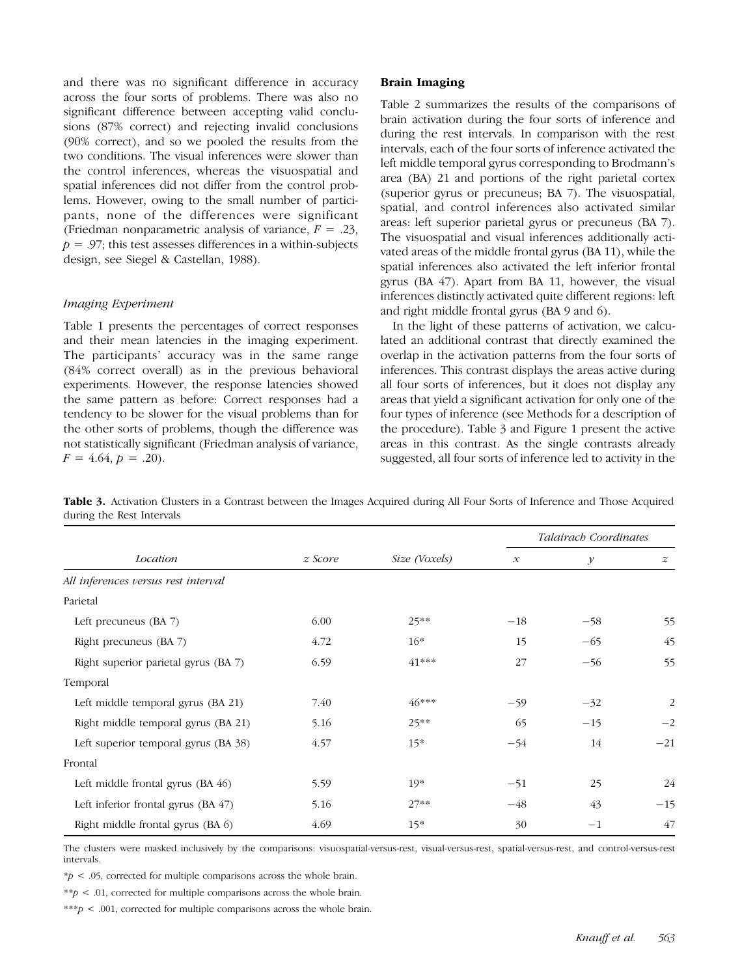and there was no significant difference in accuracy across the four sorts of problems. There was also no significant difference between accepting valid conclusions (87% correct) and rejecting invalid conclusions (90% correct), and so we pooled the results from the two conditions. The visual inferences were slower than the control inferences, whereas the visuospatial and spatial inferences did not differ from the control problems. However, owing to the small number of participants, none of the differences were significant (Friedman nonparametric analysis of variance,  $F = .23$ ,  $p = .97$ ; this test assesses differences in a within-subjects design, see Siegel & Castellan, 1988).

#### Imaging Experiment

Table 1 presents the percentages of correct responses and their mean latencies in the imaging experiment. The participants' accuracy was in the same range (84% correct overall) as in the previous behavioral experiments. However, the response latencies showed the same pattern as before: Correct responses had a tendency to be slower for the visual problems than for the other sorts of problems, though the difference was not statistically significant (Friedman analysis of variance,  $F = 4.64, p = .20$ .

#### Brain Imaging

Table 2 summarizes the results of the comparisons of brain activation during the four sorts of inference and during the rest intervals. In comparison with the rest intervals, each of the four sorts of inference activated the left middle temporal gyrus corresponding to Brodmann's area (BA) 21 and portions of the right parietal cortex (superior gyrus or precuneus; BA 7). The visuospatial, spatial, and control inferences also activated similar areas: left superior parietal gyrus or precuneus (BA 7). The visuospatial and visual inferences additionally activated areas of the middle frontal gyrus (BA 11), while the spatial inferences also activated the left inferior frontal gyrus (BA 47). Apart from BA 11, however, the visual inferences distinctly activated quite different regions: left and right middle frontal gyrus (BA 9 and 6).

In the light of these patterns of activation, we calculated an additional contrast that directly examined the overlap in the activation patterns from the four sorts of inferences. This contrast displays the areas active during all four sorts of inferences, but it does not display any areas that yield a significant activation for only one of the four types of inference (see Methods for a description of the procedure). Table 3 and Figure 1 present the active areas in this contrast. As the single contrasts already suggested, all four sorts of inference led to activity in the

Table 3. Activation Clusters in a Contrast between the Images Acquired during All Four Sorts of Inference and Those Acquired during the Rest Intervals

|                                      |         |               | Talairach Coordinates |               |                  |
|--------------------------------------|---------|---------------|-----------------------|---------------|------------------|
| Location                             | z Score | Size (Voxels) | $\mathcal{X}$         | $\mathcal{Y}$ | $\boldsymbol{z}$ |
| All inferences versus rest interval  |         |               |                       |               |                  |
| Parietal                             |         |               |                       |               |                  |
| Left precuneus $(BA 7)$              | 6.00    | $25***$       | $-18$                 | $-58$         | 55               |
| Right precuneus (BA 7)               | 4.72    | $16*$         | 15                    | $-65$         | 45               |
| Right superior parietal gyrus (BA 7) | 6.59    | $41***$       | 27                    | $-56$         | 55               |
| Temporal                             |         |               |                       |               |                  |
| Left middle temporal gyrus (BA 21)   | 7.40    | $46***$       | $-59$                 | $-32$         | 2                |
| Right middle temporal gyrus (BA 21)  | 5.16    | $25***$       | 65                    | $-15$         | $-2$             |
| Left superior temporal gyrus (BA 38) | 4.57    | $15*$         | $-54$                 | 14            | $-21$            |
| Frontal                              |         |               |                       |               |                  |
| Left middle frontal gyrus (BA 46)    | 5.59    | $19*$         | $-51$                 | 25            | 24               |
| Left inferior frontal gyrus (BA 47)  | 5.16    | $27**$        | $-48$                 | 43            | $-15$            |
| Right middle frontal gyrus (BA 6)    | 4.69    | $15*$         | 30                    | $-1$          | 47               |

The clusters were masked inclusively by the comparisons: visuospatial-versus-rest, visual-versus-rest, spatial-versus-rest, and control-versus-rest intervals.

 $*p$  < .05, corrected for multiple comparisons across the whole brain.

 $**p < .01$ , corrected for multiple comparisons across the whole brain.

\*\*\* $p$  < .001, corrected for multiple comparisons across the whole brain.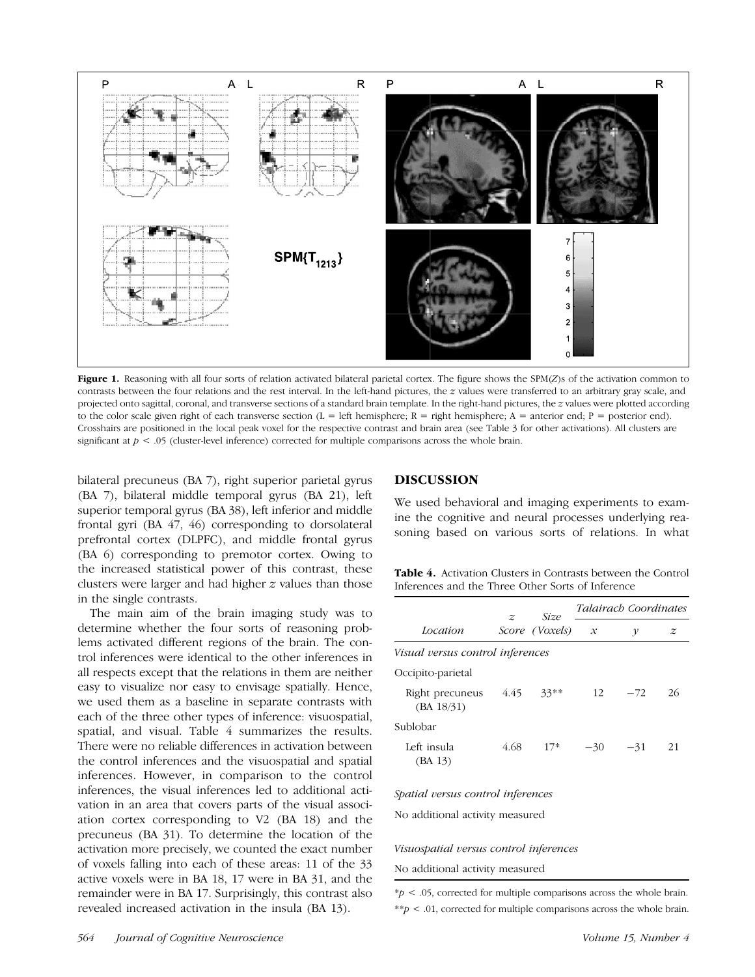

Figure 1. Reasoning with all four sorts of relation activated bilateral parietal cortex. The figure shows the SPM(Z)s of the activation common to contrasts between the four relations and the rest interval. In the left-hand pictures, the  $z$  values were transferred to an arbitrary gray scale, and projected onto sagittal, coronal, and transverse sections of a standard brain template. In the right-hand pictures, the z values were plotted according to the color scale given right of each transverse section  $(L = left$  hemisphere;  $R = right$  hemisphere;  $A =$  anterior end;  $P =$  posterior end). Crosshairs are positioned in the local peak voxel for the respective contrast and brain area (see Table 3 for other activations). All clusters are significant at  $p < .05$  (cluster-level inference) corrected for multiple comparisons across the whole brain.

bilateral precuneus (BA 7), right superior parietal gyrus (BA 7), bilateral middle temporal gyrus (BA 21), left superior temporal gyrus (BA 38), left inferior and middle frontal gyri (BA 47, 46) corresponding to dorsolateral prefrontal cortex (DLPFC), and middle frontal gyrus (BA 6) corresponding to premotor cortex. Owing to the increased statistical power of this contrast, these clusters were larger and had higher z values than those in the single contrasts.

The main aim of the brain imaging study was to determine whether the four sorts of reasoning problems activated different regions of the brain. The control inferences were identical to the other inferences in all respects except that the relations in them are neither easy to visualize nor easy to envisage spatially. Hence, we used them as a baseline in separate contrasts with each of the three other types of inference: visuospatial, spatial, and visual. Table 4 summarizes the results. There were no reliable differences in activation between the control inferences and the visuospatial and spatial inferences. However, in comparison to the control inferences, the visual inferences led to additional activation in an area that covers parts of the visual association cortex corresponding to V2 (BA 18) and the precuneus (BA 31). To determine the location of the activation more precisely, we counted the exact number of voxels falling into each of these areas: 11 of the 33 active voxels were in BA 18, 17 were in BA 31, and the remainder were in BA 17. Surprisingly, this contrast also revealed increased activation in the insula (BA 13).

#### DISCUSSION

We used behavioral and imaging experiments to examine the cognitive and neural processes underlying reasoning based on various sorts of relations. In what

| <b>Table 4.</b> Activation Clusters in Contrasts between the Control |  |
|----------------------------------------------------------------------|--|
| Inferences and the Three Other Sorts of Inference                    |  |

|                                  | z    | Size           | Talairach Coordinates |              |    |  |
|----------------------------------|------|----------------|-----------------------|--------------|----|--|
| Location                         |      | Score (Voxels) | $\mathcal{X}$         | $\mathcal V$ | z  |  |
| Visual versus control inferences |      |                |                       |              |    |  |
| Occipito-parietal                |      |                |                       |              |    |  |
| Right precuneus<br>(BA 18/31)    | 4.45 | $33**$         | 12                    | $-72$        | 26 |  |
| Sublobar                         |      |                |                       |              |    |  |
| Left insula<br>(BA 13)           | 4.68 | $17*$          | $-30$                 | $-31$        | 21 |  |

#### Spatial versus control inferences

No additional activity measured

#### Visuospatial versus control inferences

No additional activity measured

 $*p < .05$ , corrected for multiple comparisons across the whole brain.  $*p$  < .01, corrected for multiple comparisons across the whole brain.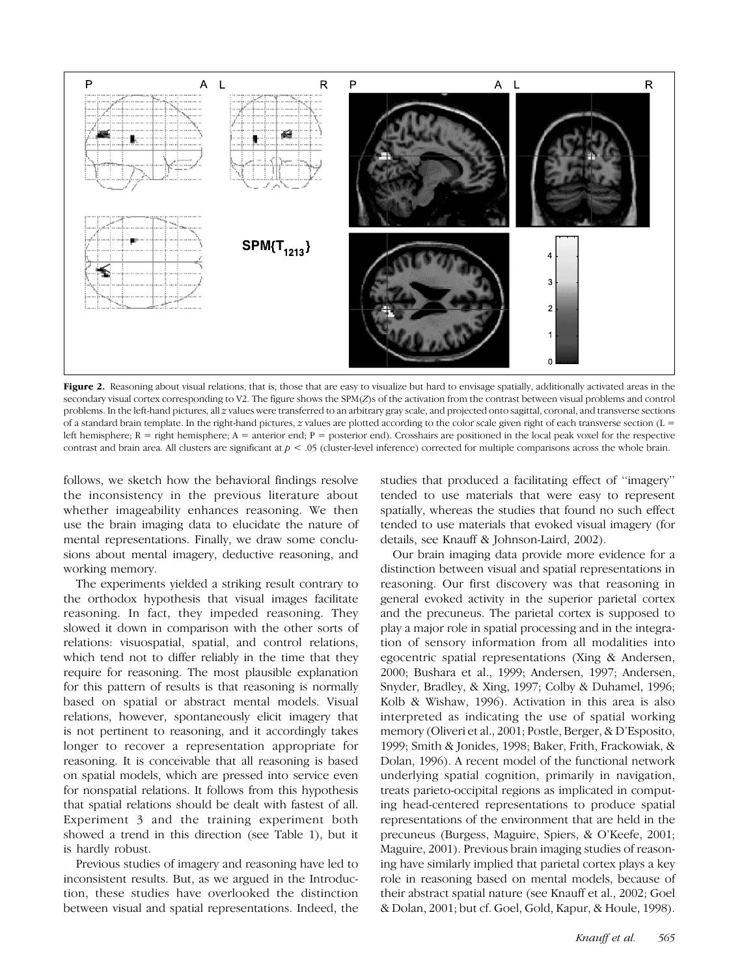

Figure 2. Reasoning about visual relations, that is, those that are easy to visualize but hard to envisage spatially, additionally activated areas in the secondary visual cortex corresponding to V2. The figure shows the SPM(Z)s of the activation from the contrast between visual problems and control problems. In the left-hand pictures, all z values were transferred to an arbitrary gray scale, and projected onto sagittal, coronal, and transverse sections of a standard brain template. In the right-hand pictures,  $z$  values are plotted according to the color scale given right of each transverse section ( $L =$ left hemisphere;  $R =$  right hemisphere;  $A =$  anterior end;  $P =$  posterior end). Crosshairs are positioned in the local peak voxel for the respective contrast and brain area. All clusters are significant at  $p < .05$  (cluster-level inference) corrected for multiple comparisons across the whole brain.

follows, we sketch how the behavioral findings resolve the inconsistency in the previous literature about whether imageability enhances reasoning. We then use the brain imaging data to elucidate the nature of mental representations. Finally, we draw some conclusions about mental imagery, deductive reasoning, and working memory.

The experiments yielded a striking result contrary to the orthodox hypothesis that visual images facilitate reasoning. In fact, they impeded reasoning. They slowed it down in comparison with the other sorts of relations: visuospatial, spatial, and control relations, which tend not to differ reliably in the time that they require for reasoning. The most plausible explanation for this pattern of results is that reasoning is normally based on spatial or abstract mental models. Visual relations, however, spontaneously elicit imagery that is not pertinent to reasoning, and it accordingly takes longer to recover a representation appropriate for reasoning. It is conceivable that all reasoning is based on spatial models, which are pressed into service even for nonspatial relations. It follows from this hypothesis that spatial relations should be dealt with fastest of all. Experiment 3 and the training experiment both showed a trend in this direction (see Table 1), but it is hardly robust.

Previous studies of imagery and reasoning have led to inconsistent results. But, as we argued in the Introduction, these studies have overlooked the distinction between visual and spatial representations. Indeed, the studies that produced a facilitating effect of ''imagery'' tended to use materials that were easy to represent spatially, whereas the studies that found no such effect tended to use materials that evoked visual imagery (for details, see Knauff & Johnson-Laird, 2002).

Our brain imaging data provide more evidence for a distinction between visual and spatial representations in reasoning. Our first discovery was that reasoning in general evoked activity in the superior parietal cortex and the precuneus. The parietal cortex is supposed to play a major role in spatial processing and in the integration of sensory information from all modalities into egocentric spatial representations (Xing & Andersen, 2000; Bushara et al., 1999; Andersen, 1997; Andersen, Snyder, Bradley, & Xing, 1997; Colby & Duhamel, 1996; Kolb & Wishaw, 1996). Activation in this area is also interpreted as indicating the use of spatial working memory (Oliveri et al., 2001; Postle, Berger, & D'Esposito, 1999; Smith & Jonides, 1998; Baker, Frith, Frackowiak, & Dolan, 1996). A recent model of the functional network underlying spatial cognition, primarily in navigation, treats parieto-occipital regions as implicated in computing head-centered representations to produce spatial representations of the environment that are held in the precuneus (Burgess, Maguire, Spiers, & O'Keefe, 2001; Maguire, 2001). Previous brain imaging studies of reasoning have similarly implied that parietal cortex plays a key role in reasoning based on mental models, because of their abstract spatial nature (see Knauff et al., 2002; Goel & Dolan, 2001; but cf. Goel, Gold, Kapur, & Houle, 1998).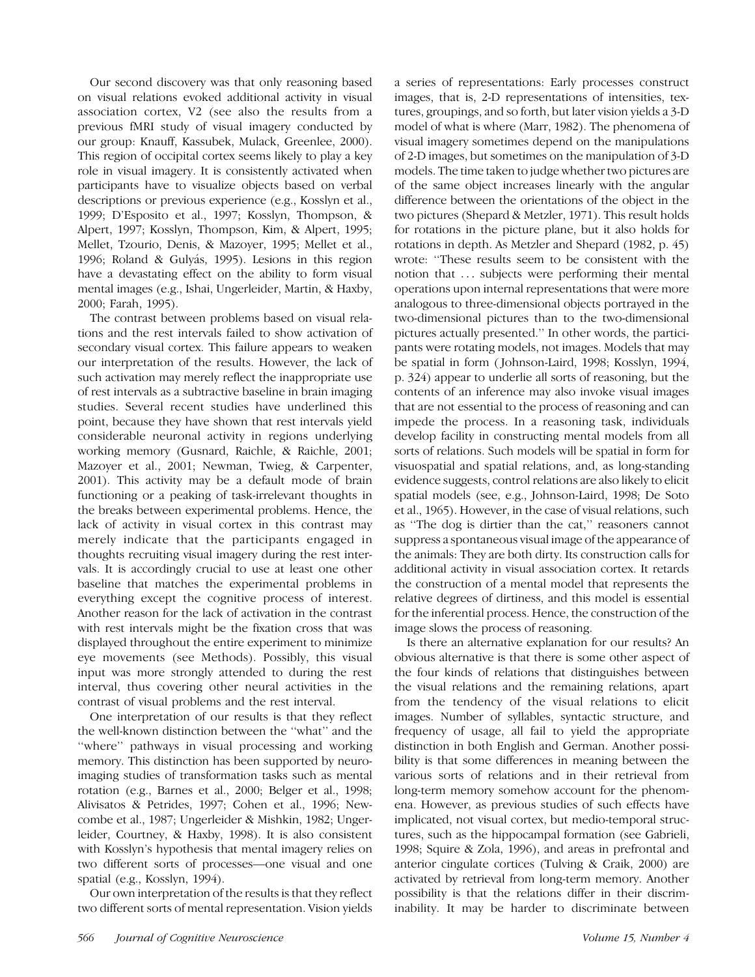Our second discovery was that only reasoning based on visual relations evoked additional activity in visual association cortex, V2 (see also the results from a previous fMRI study of visual imagery conducted by our group: Knauff, Kassubek, Mulack, Greenlee, 2000). This region of occipital cortex seems likely to play a key role in visual imagery. It is consistently activated when participants have to visualize objects based on verbal descriptions or previous experience (e.g., Kosslyn et al., 1999; D'Esposito et al., 1997; Kosslyn, Thompson, & Alpert, 1997; Kosslyn, Thompson, Kim, & Alpert, 1995; Mellet, Tzourio, Denis, & Mazoyer, 1995; Mellet et al., 1996; Roland & Gulyás, 1995). Lesions in this region have a devastating effect on the ability to form visual mental images (e.g., Ishai, Ungerleider, Martin, & Haxby, 2000; Farah, 1995).

The contrast between problems based on visual relations and the rest intervals failed to show activation of secondary visual cortex. This failure appears to weaken our interpretation of the results. However, the lack of such activation may merely reflect the inappropriate use of rest intervals as a subtractive baseline in brain imaging studies. Several recent studies have underlined this point, because they have shown that rest intervals yield considerable neuronal activity in regions underlying working memory (Gusnard, Raichle, & Raichle, 2001; Mazoyer et al., 2001; Newman, Twieg, & Carpenter, 2001). This activity may be a default mode of brain functioning or a peaking of task-irrelevant thoughts in the breaks between experimental problems. Hence, the lack of activity in visual cortex in this contrast may merely indicate that the participants engaged in thoughts recruiting visual imagery during the rest intervals. It is accordingly crucial to use at least one other baseline that matches the experimental problems in everything except the cognitive process of interest. Another reason for the lack of activation in the contrast with rest intervals might be the fixation cross that was displayed throughout the entire experiment to minimize eye movements (see Methods). Possibly, this visual input was more strongly attended to during the rest interval, thus covering other neural activities in the contrast of visual problems and the rest interval.

One interpretation of our results is that they reflect the well-known distinction between the ''what'' and the ''where'' pathways in visual processing and working memory. This distinction has been supported by neuroimaging studies of transformation tasks such as mental rotation (e.g., Barnes et al., 2000; Belger et al., 1998; Alivisatos & Petrides, 1997; Cohen et al., 1996; Newcombe et al., 1987; Ungerleider & Mishkin, 1982; Ungerleider, Courtney, & Haxby, 1998). It is also consistent with Kosslyn's hypothesis that mental imagery relies on two different sorts of processes—one visual and one spatial (e.g., Kosslyn, 1994).

Our own interpretation of the results is that they reflect two different sorts of mental representation. Vision yields

a series of representations: Early processes construct images, that is, 2-D representations of intensities, textures, groupings, and so forth, but later vision yields a 3-D model of what is where (Marr, 1982). The phenomena of visual imagery sometimes depend on the manipulations of 2-D images, but sometimes on the manipulation of 3-D models. The time taken to judge whether two pictures are of the same object increases linearly with the angular difference between the orientations of the object in the two pictures (Shepard & Metzler, 1971). This result holds for rotations in the picture plane, but it also holds for rotations in depth. As Metzler and Shepard (1982, p. 45) wrote: ''These results seem to be consistent with the notion that ... subjects were performing their mental operations upon internal representations that were more analogous to three-dimensional objects portrayed in the two-dimensional pictures than to the two-dimensional pictures actually presented.'' In other words, the participants were rotating models, not images. Models that may be spatial in form ( Johnson-Laird, 1998; Kosslyn, 1994, p. 324) appear to underlie all sorts of reasoning, but the contents of an inference may also invoke visual images that are not essential to the process of reasoning and can impede the process. In a reasoning task, individuals develop facility in constructing mental models from all sorts of relations. Such models will be spatial in form for visuospatial and spatial relations, and, as long-standing evidence suggests, control relations are also likely to elicit spatial models (see, e.g., Johnson-Laird, 1998; De Soto et al., 1965). However, in the case of visual relations, such as ''The dog is dirtier than the cat,'' reasoners cannot suppress a spontaneous visual image of the appearance of the animals: They are both dirty. Its construction calls for additional activity in visual association cortex. It retards the construction of a mental model that represents the relative degrees of dirtiness, and this model is essential for the inferential process. Hence, the construction of the image slows the process of reasoning.

Is there an alternative explanation for our results? An obvious alternative is that there is some other aspect of the four kinds of relations that distinguishes between the visual relations and the remaining relations, apart from the tendency of the visual relations to elicit images. Number of syllables, syntactic structure, and frequency of usage, all fail to yield the appropriate distinction in both English and German. Another possibility is that some differences in meaning between the various sorts of relations and in their retrieval from long-term memory somehow account for the phenomena. However, as previous studies of such effects have implicated, not visual cortex, but medio-temporal structures, such as the hippocampal formation (see Gabrieli, 1998; Squire & Zola, 1996), and areas in prefrontal and anterior cingulate cortices (Tulving & Craik, 2000) are activated by retrieval from long-term memory. Another possibility is that the relations differ in their discriminability. It may be harder to discriminate between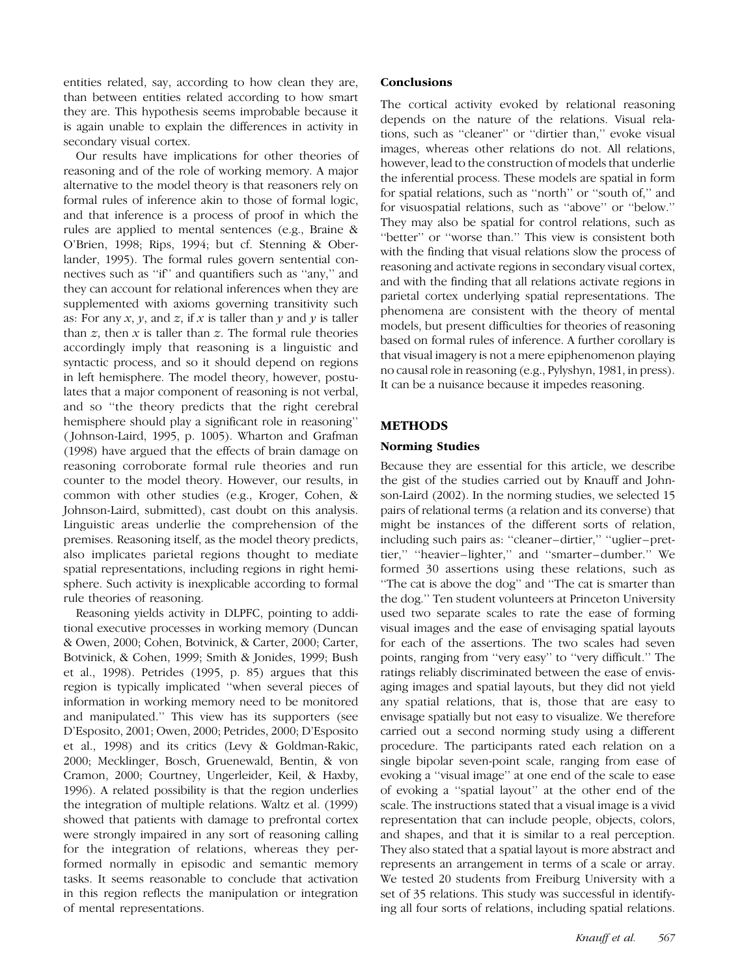entities related, say, according to how clean they are, than between entities related according to how smart they are. This hypothesis seems improbable because it is again unable to explain the differences in activity in secondary visual cortex.

Our results have implications for other theories of reasoning and of the role of working memory. A major alternative to the model theory is that reasoners rely on formal rules of inference akin to those of formal logic, and that inference is a process of proof in which the rules are applied to mental sentences (e.g., Braine & O'Brien, 1998; Rips, 1994; but cf. Stenning & Oberlander, 1995). The formal rules govern sentential connectives such as ''if'' and quantifiers such as ''any,'' and they can account for relational inferences when they are supplemented with axioms governing transitivity such as: For any x, y, and z, if x is taller than y and y is taller than  $z$ , then  $x$  is taller than  $z$ . The formal rule theories accordingly imply that reasoning is a linguistic and syntactic process, and so it should depend on regions in left hemisphere. The model theory, however, postulates that a major component of reasoning is not verbal, and so ''the theory predicts that the right cerebral hemisphere should play a significant role in reasoning'' ( Johnson-Laird, 1995, p. 1005). Wharton and Grafman (1998) have argued that the effects of brain damage on reasoning corroborate formal rule theories and run counter to the model theory. However, our results, in common with other studies (e.g., Kroger, Cohen, & Johnson-Laird, submitted), cast doubt on this analysis. Linguistic areas underlie the comprehension of the premises. Reasoning itself, as the model theory predicts, also implicates parietal regions thought to mediate spatial representations, including regions in right hemisphere. Such activity is inexplicable according to formal rule theories of reasoning.

Reasoning yields activity in DLPFC, pointing to additional executive processes in working memory (Duncan & Owen, 2000; Cohen, Botvinick, & Carter, 2000; Carter, Botvinick, & Cohen, 1999; Smith & Jonides, 1999; Bush et al., 1998). Petrides (1995, p. 85) argues that this region is typically implicated ''when several pieces of information in working memory need to be monitored and manipulated.'' This view has its supporters (see D'Esposito, 2001; Owen, 2000; Petrides, 2000; D'Esposito et al., 1998) and its critics (Levy & Goldman-Rakic, 2000; Mecklinger, Bosch, Gruenewald, Bentin, & von Cramon, 2000; Courtney, Ungerleider, Keil, & Haxby, 1996). A related possibility is that the region underlies the integration of multiple relations. Waltz et al. (1999) showed that patients with damage to prefrontal cortex were strongly impaired in any sort of reasoning calling for the integration of relations, whereas they performed normally in episodic and semantic memory tasks. It seems reasonable to conclude that activation in this region reflects the manipulation or integration of mental representations.

#### Conclusions

The cortical activity evoked by relational reasoning depends on the nature of the relations. Visual relations, such as ''cleaner'' or ''dirtier than,'' evoke visual images, whereas other relations do not. All relations, however, lead to the construction of models that underlie the inferential process. These models are spatial in form for spatial relations, such as ''north'' or ''south of,'' and for visuospatial relations, such as ''above'' or ''below.'' They may also be spatial for control relations, such as "better" or "worse than." This view is consistent both with the finding that visual relations slow the process of reasoning and activate regions in secondary visual cortex, and with the finding that all relations activate regions in parietal cortex underlying spatial representations. The phenomena are consistent with the theory of mental models, but present difficulties for theories of reasoning based on formal rules of inference. A further corollary is that visual imagery is not a mere epiphenomenon playing no causal role in reasoning (e.g., Pylyshyn, 1981, in press). It can be a nuisance because it impedes reasoning.

# METHODS

## Norming Studies

Because they are essential for this article, we describe the gist of the studies carried out by Knauff and Johnson-Laird (2002). In the norming studies, we selected 15 pairs of relational terms (a relation and its converse) that might be instances of the different sorts of relation, including such pairs as: ''cleaner–dirtier,'' ''uglier–prettier," "heavier-lighter," and "smarter-dumber." We formed 30 assertions using these relations, such as ''The cat is above the dog'' and ''The cat is smarter than the dog.'' Ten student volunteers at Princeton University used two separate scales to rate the ease of forming visual images and the ease of envisaging spatial layouts for each of the assertions. The two scales had seven points, ranging from ''very easy'' to ''very difficult.'' The ratings reliably discriminated between the ease of envisaging images and spatial layouts, but they did not yield any spatial relations, that is, those that are easy to envisage spatially but not easy to visualize. We therefore carried out a second norming study using a different procedure. The participants rated each relation on a single bipolar seven-point scale, ranging from ease of evoking a ''visual image'' at one end of the scale to ease of evoking a ''spatial layout'' at the other end of the scale. The instructions stated that a visual image is a vivid representation that can include people, objects, colors, and shapes, and that it is similar to a real perception. They also stated that a spatial layout is more abstract and represents an arrangement in terms of a scale or array. We tested 20 students from Freiburg University with a set of 35 relations. This study was successful in identifying all four sorts of relations, including spatial relations.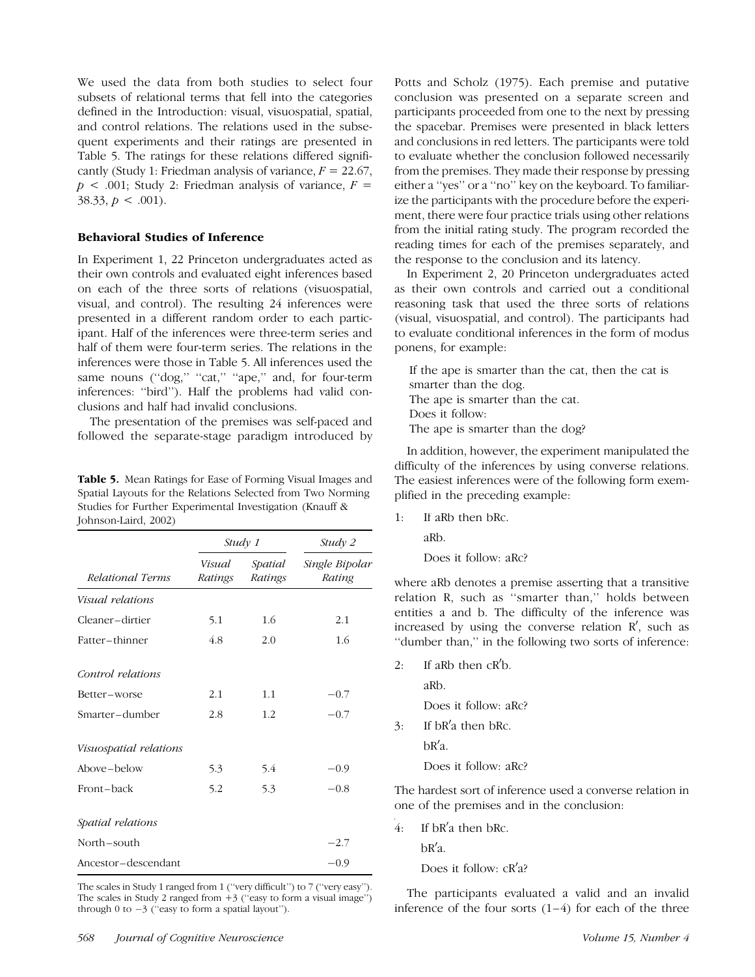We used the data from both studies to select four subsets of relational terms that fell into the categories defined in the Introduction: visual, visuospatial, spatial, and control relations. The relations used in the subsequent experiments and their ratings are presented in Table 5. The ratings for these relations differed significantly (Study 1: Friedman analysis of variance,  $F = 22.67$ ,  $p \lt 0.001$ ; Study 2: Friedman analysis of variance,  $F =$ 38.33,  $p < .001$ ).

### Behavioral Studies of Inference

In Experiment 1, 22 Princeton undergraduates acted as their own controls and evaluated eight inferences based on each of the three sorts of relations (visuospatial, visual, and control). The resulting 24 inferences were presented in a different random order to each participant. Half of the inferences were three-term series and half of them were four-term series. The relations in the inferences were those in Table 5. All inferences used the same nouns ("dog," "cat," "ape," and, for four-term inferences: ''bird''). Half the problems had valid conclusions and half had invalid conclusions.

The presentation of the premises was self-paced and followed the separate-stage paradigm introduced by

Table 5. Mean Ratings for Ease of Forming Visual Images and Spatial Layouts for the Relations Selected from Two Norming Studies for Further Experimental Investigation (Knauff & Johnson-Laird, 2002)

|                        |                   | Study 1            | Study $2$                |  |  |
|------------------------|-------------------|--------------------|--------------------------|--|--|
| Relational Terms       | Visual<br>Ratings | Spatial<br>Ratings | Single Bipolar<br>Rating |  |  |
| Visual relations       |                   |                    |                          |  |  |
| Cleaner-dirtier        | 5.1               | 1.6                | 2.1                      |  |  |
| Fatter-thinner         | 4.8               | 2.0                | 1.6                      |  |  |
| Control relations      |                   |                    |                          |  |  |
| Better-worse           | 2.1               | 1.1                | $-0.7$                   |  |  |
| Smarter-dumber         | 2.8               | 1.2                | $-0.7$                   |  |  |
| Visuospatial relations |                   |                    |                          |  |  |
| Above-below            | 5.3               | 5.4                | $-0.9$                   |  |  |
| Front-back             | 5.2               | 5.3                | $-0.8$                   |  |  |
| Spatial relations      |                   |                    |                          |  |  |
| North-south            |                   |                    | $-2.7$                   |  |  |
| Ancestor-descendant    |                   |                    | $-0.9$                   |  |  |

The scales in Study 1 ranged from 1 (''very difficult'') to 7 (''very easy''). The scales in Study 2 ranged from  $+3$  ("easy to form a visual image") through 0 to  $-3$  ("easy to form a spatial layout").

Potts and Scholz (1975). Each premise and putative conclusion was presented on a separate screen and participants proceeded from one to the next by pressing the spacebar. Premises were presented in black letters and conclusions in red letters. The participants were told to evaluate whether the conclusion followed necessarily from the premises. They made their response by pressing either a ''yes'' or a ''no'' key on the keyboard. To familiarize the participants with the procedure before the experiment, there were four practice trials using other relations from the initial rating study. The program recorded the reading times for each of the premises separately, and the response to the conclusion and its latency.

In Experiment 2, 20 Princeton undergraduates acted as their own controls and carried out a conditional reasoning task that used the three sorts of relations (visual, visuospatial, and control). The participants had to evaluate conditional inferences in the form of modus ponens, for example:

If the ape is smarter than the cat, then the cat is smarter than the dog. The ape is smarter than the cat. Does it follow: The ape is smarter than the dog?

In addition, however, the experiment manipulated the difficulty of the inferences by using converse relations. The easiest inferences were of the following form exemplified in the preceding example:

1: If aRb then bRc.

aRb.

Does it follow: aRc?

where aRb denotes a premise asserting that a transitive relation R, such as ''smarter than,'' holds between entities a and b. The difficulty of the inference was increased by using the converse relation  $R'$ , such as ''dumber than,'' in the following two sorts of inference:

2: If a Rb then  $cR'b$ .

aRb.

Does it follow: aRc?

 $3:$  If  $bR'a$  then bRc.

bR'a. Does it follow: aRc?

The hardest sort of inference used a converse relation in one of the premises and in the conclusion:

 $4:$  If  $bR'a$  then  $bRc$ .

bR'a.

Does it follow: cR'a?

The participants evaluated a valid and an invalid inference of the four sorts  $(1-4)$  for each of the three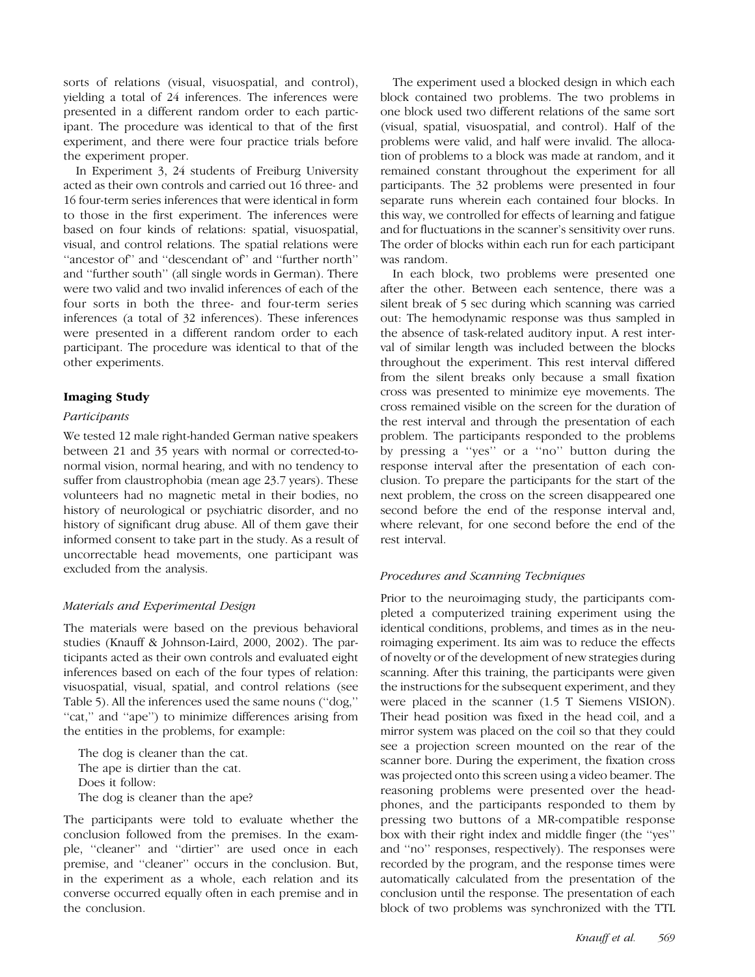sorts of relations (visual, visuospatial, and control), yielding a total of 24 inferences. The inferences were presented in a different random order to each participant. The procedure was identical to that of the first experiment, and there were four practice trials before the experiment proper.

In Experiment 3, 24 students of Freiburg University acted as their own controls and carried out 16 three- and 16 four-term series inferences that were identical in form to those in the first experiment. The inferences were based on four kinds of relations: spatial, visuospatial, visual, and control relations. The spatial relations were ''ancestor of'' and ''descendant of'' and ''further north'' and ''further south'' (all single words in German). There were two valid and two invalid inferences of each of the four sorts in both the three- and four-term series inferences (a total of 32 inferences). These inferences were presented in a different random order to each participant. The procedure was identical to that of the other experiments.

#### Imaging Study

#### Participants

We tested 12 male right-handed German native speakers between 21 and 35 years with normal or corrected-tonormal vision, normal hearing, and with no tendency to suffer from claustrophobia (mean age 23.7 years). These volunteers had no magnetic metal in their bodies, no history of neurological or psychiatric disorder, and no history of significant drug abuse. All of them gave their informed consent to take part in the study. As a result of uncorrectable head movements, one participant was excluded from the analysis.

#### Materials and Experimental Design

The materials were based on the previous behavioral studies (Knauff & Johnson-Laird, 2000, 2002). The participants acted as their own controls and evaluated eight inferences based on each of the four types of relation: visuospatial, visual, spatial, and control relations (see Table 5). All the inferences used the same nouns (''dog,'' "cat," and "ape") to minimize differences arising from the entities in the problems, for example:

The dog is cleaner than the cat. The ape is dirtier than the cat. Does it follow: The dog is cleaner than the ape?

The participants were told to evaluate whether the conclusion followed from the premises. In the example, ''cleaner'' and ''dirtier'' are used once in each premise, and ''cleaner'' occurs in the conclusion. But, in the experiment as a whole, each relation and its converse occurred equally often in each premise and in the conclusion.

The experiment used a blocked design in which each block contained two problems. The two problems in one block used two different relations of the same sort (visual, spatial, visuospatial, and control). Half of the problems were valid, and half were invalid. The allocation of problems to a block was made at random, and it remained constant throughout the experiment for all participants. The 32 problems were presented in four separate runs wherein each contained four blocks. In this way, we controlled for effects of learning and fatigue and for fluctuations in the scanner's sensitivity over runs. The order of blocks within each run for each participant was random.

In each block, two problems were presented one after the other. Between each sentence, there was a silent break of 5 sec during which scanning was carried out: The hemodynamic response was thus sampled in the absence of task-related auditory input. A rest interval of similar length was included between the blocks throughout the experiment. This rest interval differed from the silent breaks only because a small fixation cross was presented to minimize eye movements. The cross remained visible on the screen for the duration of the rest interval and through the presentation of each problem. The participants responded to the problems by pressing a ''yes'' or a ''no'' button during the response interval after the presentation of each conclusion. To prepare the participants for the start of the next problem, the cross on the screen disappeared one second before the end of the response interval and, where relevant, for one second before the end of the rest interval.

## Procedures and Scanning Techniques

Prior to the neuroimaging study, the participants completed a computerized training experiment using the identical conditions, problems, and times as in the neuroimaging experiment. Its aim was to reduce the effects of novelty or of the development of new strategies during scanning. After this training, the participants were given the instructions for the subsequent experiment, and they were placed in the scanner (1.5 T Siemens VISION). Their head position was fixed in the head coil, and a mirror system was placed on the coil so that they could see a projection screen mounted on the rear of the scanner bore. During the experiment, the fixation cross was projected onto this screen using a video beamer. The reasoning problems were presented over the headphones, and the participants responded to them by pressing two buttons of a MR-compatible response box with their right index and middle finger (the ''yes'' and ''no'' responses, respectively). The responses were recorded by the program, and the response times were automatically calculated from the presentation of the conclusion until the response. The presentation of each block of two problems was synchronized with the TTL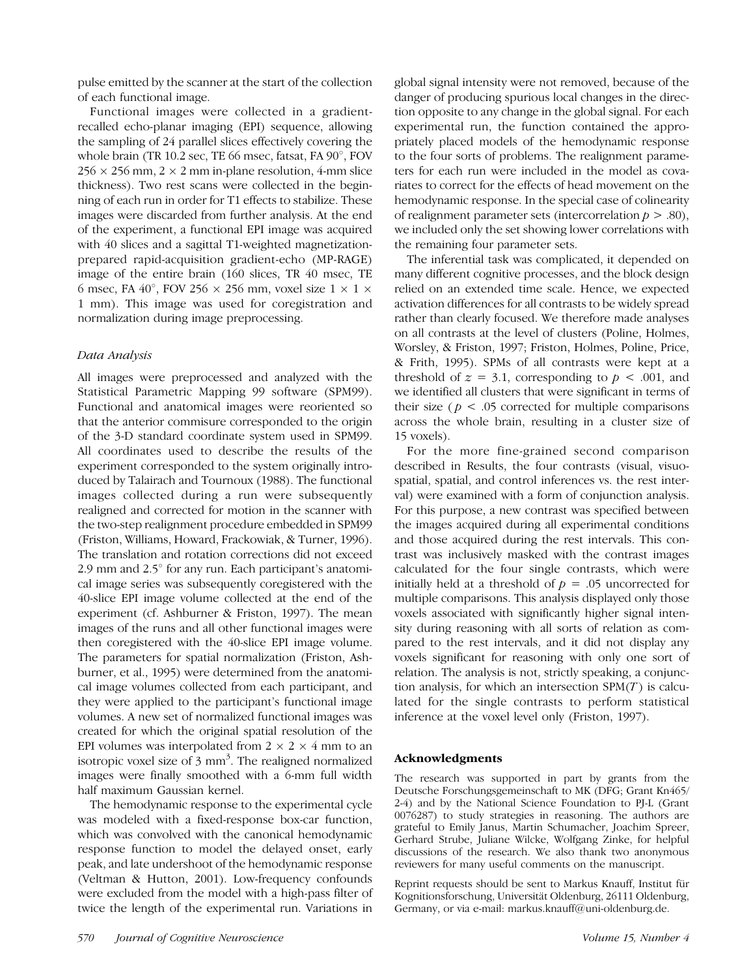pulse emitted by the scanner at the start of the collection of each functional image.

Functional images were collected in a gradientrecalled echo-planar imaging (EPI) sequence, allowing the sampling of 24 parallel slices effectively covering the whole brain (TR 10.2 sec, TE 66 msec, fatsat, FA 90°, FOV  $256 \times 256$  mm,  $2 \times 2$  mm in-plane resolution, 4-mm slice thickness). Two rest scans were collected in the beginning of each run in order for T1 effects to stabilize. These images were discarded from further analysis. At the end of the experiment, a functional EPI image was acquired with 40 slices and a sagittal T1-weighted magnetizationprepared rapid-acquisition gradient-echo (MP-RAGE) image of the entire brain (160 slices, TR 40 msec, TE 6 msec, FA  $40^{\circ}$ , FOV 256  $\times$  256 mm, voxel size  $1 \times 1 \times$ 1 mm). This image was used for coregistration and normalization during image preprocessing.

#### Data Analysis

All images were preprocessed and analyzed with the Statistical Parametric Mapping 99 software (SPM99). Functional and anatomical images were reoriented so that the anterior commisure corresponded to the origin of the 3-D standard coordinate system used in SPM99. All coordinates used to describe the results of the experiment corresponded to the system originally introduced by Talairach and Tournoux (1988). The functional images collected during a run were subsequently realigned and corrected for motion in the scanner with the two-step realignment procedure embedded in SPM99 (Friston, Williams, Howard, Frackowiak, & Turner, 1996). The translation and rotation corrections did not exceed 2.9 mm and  $2.5^{\circ}$  for any run. Each participant's anatomical image series was subsequently coregistered with the 40-slice EPI image volume collected at the end of the experiment (cf. Ashburner & Friston, 1997). The mean images of the runs and all other functional images were then coregistered with the 40-slice EPI image volume. The parameters for spatial normalization (Friston, Ashburner, et al., 1995) were determined from the anatomical image volumes collected from each participant, and they were applied to the participant's functional image volumes. A new set of normalized functional images was created for which the original spatial resolution of the EPI volumes was interpolated from  $2 \times 2 \times 4$  mm to an isotropic voxel size of  $3 \text{ mm}^3$ . The realigned normalized images were finally smoothed with a 6-mm full width half maximum Gaussian kernel.

The hemodynamic response to the experimental cycle was modeled with a fixed-response box-car function, which was convolved with the canonical hemodynamic response function to model the delayed onset, early peak, and late undershoot of the hemodynamic response (Veltman & Hutton, 2001). Low-frequency confounds were excluded from the model with a high-pass filter of twice the length of the experimental run. Variations in global signal intensity were not removed, because of the danger of producing spurious local changes in the direction opposite to any change in the global signal. For each experimental run, the function contained the appropriately placed models of the hemodynamic response to the four sorts of problems. The realignment parameters for each run were included in the model as covariates to correct for the effects of head movement on the hemodynamic response. In the special case of colinearity of realignment parameter sets (intercorrelation  $p > .80$ ), we included only the set showing lower correlations with the remaining four parameter sets.

The inferential task was complicated, it depended on many different cognitive processes, and the block design relied on an extended time scale. Hence, we expected activation differences for all contrasts to be widely spread rather than clearly focused. We therefore made analyses on all contrasts at the level of clusters (Poline, Holmes, Worsley, & Friston, 1997; Friston, Holmes, Poline, Price, & Frith, 1995). SPMs of all contrasts were kept at a threshold of  $z = 3.1$ , corresponding to  $p < .001$ , and we identified all clusters that were significant in terms of their size ( $p < .05$  corrected for multiple comparisons across the whole brain, resulting in a cluster size of 15 voxels).

For the more fine-grained second comparison described in Results, the four contrasts (visual, visuospatial, spatial, and control inferences vs. the rest interval) were examined with a form of conjunction analysis. For this purpose, a new contrast was specified between the images acquired during all experimental conditions and those acquired during the rest intervals. This contrast was inclusively masked with the contrast images calculated for the four single contrasts, which were initially held at a threshold of  $p = .05$  uncorrected for multiple comparisons. This analysis displayed only those voxels associated with significantly higher signal intensity during reasoning with all sorts of relation as compared to the rest intervals, and it did not display any voxels significant for reasoning with only one sort of relation. The analysis is not, strictly speaking, a conjunction analysis, for which an intersection  $SPM(T)$  is calculated for the single contrasts to perform statistical inference at the voxel level only (Friston, 1997).

#### Acknowledgments

The research was supported in part by grants from the Deutsche Forschungsgemeinschaft to MK (DFG; Grant Kn465/ 2-4) and by the National Science Foundation to PJ-L (Grant 0076287) to study strategies in reasoning. The authors are grateful to Emily Janus, Martin Schumacher, Joachim Spreer, Gerhard Strube, Juliane Wilcke, Wolfgang Zinke, for helpful discussions of the research. We also thank two anonymous reviewers for many useful comments on the manuscript.

Reprint requests should be sent to Markus Knauff, Institut für Kognitionsforschung, Universität Oldenburg, 26111 Oldenburg, Germany, or via e-mail: markus.knauff@uni-oldenburg.de.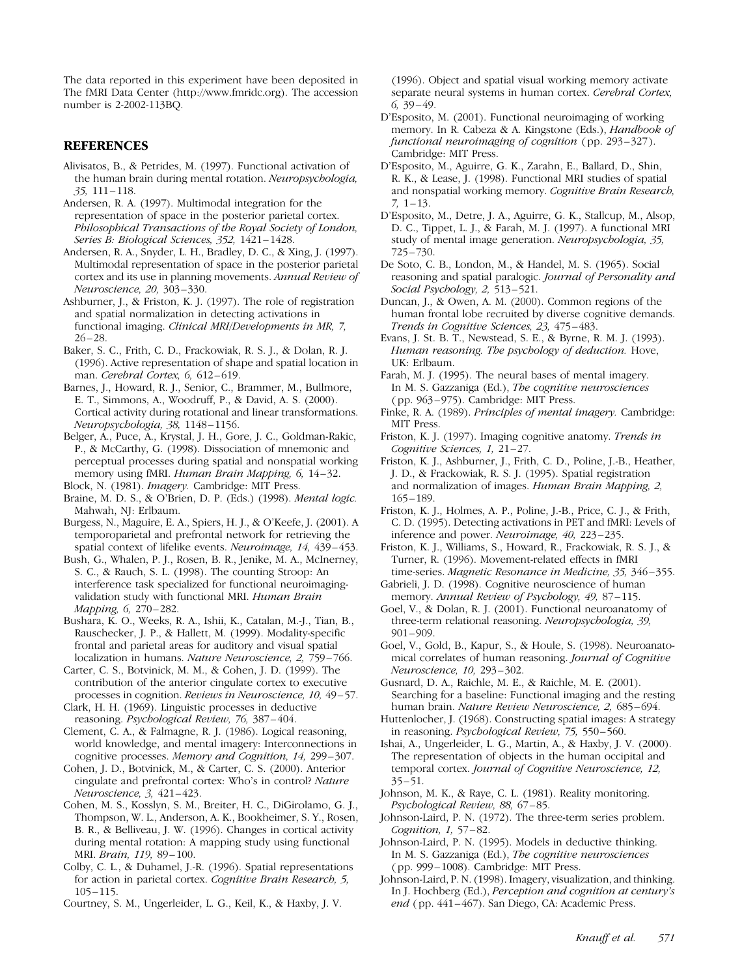The data reported in this experiment have been deposited in The fMRI Data Center (http://www.fmridc.org). The accession number is 2-2002-113BQ.

#### REFERENCES

- Alivisatos, B., & Petrides, M. (1997). Functional activation of the human brain during mental rotation. Neuropsychologia, 35, 111–118.
- Andersen, R. A. (1997). Multimodal integration for the representation of space in the posterior parietal cortex. Philosophical Transactions of the Royal Society of London, Series B: Biological Sciences, 352, 1421–1428.
- Andersen, R. A., Snyder, L. H., Bradley, D. C., & Xing, J. (1997). Multimodal representation of space in the posterior parietal cortex and its use in planning movements. Annual Review of Neuroscience, 20, 303–330.
- Ashburner, J., & Friston, K. J. (1997). The role of registration and spatial normalization in detecting activations in functional imaging. Clinical MRI/Developments in MR, 7, 26–28.
- Baker, S. C., Frith, C. D., Frackowiak, R. S. J., & Dolan, R. J. (1996). Active representation of shape and spatial location in man. Cerebral Cortex, 6, 612–619.
- Barnes, J., Howard, R. J., Senior, C., Brammer, M., Bullmore, E. T., Simmons, A., Woodruff, P., & David, A. S. (2000). Cortical activity during rotational and linear transformations. Neuropsychologia, 38, 1148–1156.
- Belger, A., Puce, A., Krystal, J. H., Gore, J. C., Goldman-Rakic, P., & McCarthy, G. (1998). Dissociation of mnemonic and perceptual processes during spatial and nonspatial working memory using fMRI. Human Brain Mapping, 6, 14-32.
- Block, N. (1981). Imagery. Cambridge: MIT Press.
- Braine, M. D. S., & O'Brien, D. P. (Eds.) (1998). Mental logic. Mahwah, NJ: Erlbaum.
- Burgess, N., Maguire, E. A., Spiers, H. J., & O'Keefe, J. (2001). A temporoparietal and prefrontal network for retrieving the spatial context of lifelike events. Neuroimage, 14, 439–453.
- Bush, G., Whalen, P. J., Rosen, B. R., Jenike, M. A., McInerney, S. C., & Rauch, S. L. (1998). The counting Stroop: An interference task specialized for functional neuroimagingvalidation study with functional MRI. Human Brain Mapping, 6, 270–282.
- Bushara, K. O., Weeks, R. A., Ishii, K., Catalan, M.-J., Tian, B., Rauschecker, J. P., & Hallett, M. (1999). Modality-specific frontal and parietal areas for auditory and visual spatial localization in humans. Nature Neuroscience, 2, 759–766.
- Carter, C. S., Botvinick, M. M., & Cohen, J. D. (1999). The contribution of the anterior cingulate cortex to executive processes in cognition. Reviews in Neuroscience, 10, 49–57.
- Clark, H. H. (1969). Linguistic processes in deductive reasoning. Psychological Review, 76, 387–404.
- Clement, C. A., & Falmagne, R. J. (1986). Logical reasoning, world knowledge, and mental imagery: Interconnections in cognitive processes. Memory and Cognition, 14, 299–307.
- Cohen, J. D., Botvinick, M., & Carter, C. S. (2000). Anterior cingulate and prefrontal cortex: Who's in control? Nature Neuroscience, 3, 421–423.
- Cohen, M. S., Kosslyn, S. M., Breiter, H. C., DiGirolamo, G. J., Thompson, W. L., Anderson, A. K., Bookheimer, S. Y., Rosen, B. R., & Belliveau, J. W. (1996). Changes in cortical activity during mental rotation: A mapping study using functional MRI. Brain, 119, 89–100.
- Colby, C. L., & Duhamel, J.-R. (1996). Spatial representations for action in parietal cortex. Cognitive Brain Research, 5, 105–115.
- Courtney, S. M., Ungerleider, L. G., Keil, K., & Haxby, J. V.

(1996). Object and spatial visual working memory activate separate neural systems in human cortex. Cerebral Cortex, 6, 39–49.

- D'Esposito, M. (2001). Functional neuroimaging of working memory. In R. Cabeza & A. Kingstone (Eds.), Handbook of functional neuroimaging of cognition (pp. 293-327). Cambridge: MIT Press.
- D'Esposito, M., Aguirre, G. K., Zarahn, E., Ballard, D., Shin, R. K., & Lease, J. (1998). Functional MRI studies of spatial and nonspatial working memory. Cognitive Brain Research, 7, 1–13.
- D'Esposito, M., Detre, J. A., Aguirre, G. K., Stallcup, M., Alsop, D. C., Tippet, L. J., & Farah, M. J. (1997). A functional MRI study of mental image generation. Neuropsychologia, 35, 725–730.
- De Soto, C. B., London, M., & Handel, M. S. (1965). Social reasoning and spatial paralogic. Journal of Personality and Social Psychology, 2, 513–521.
- Duncan, J., & Owen, A. M. (2000). Common regions of the human frontal lobe recruited by diverse cognitive demands. Trends in Cognitive Sciences, 23, 475–483.
- Evans, J. St. B. T., Newstead, S. E., & Byrne, R. M. J. (1993). Human reasoning. The psychology of deduction. Hove, UK: Erlbaum.
- Farah, M. J. (1995). The neural bases of mental imagery. In M. S. Gazzaniga (Ed.), The cognitive neurosciences ( pp. 963–975). Cambridge: MIT Press.
- Finke, R. A. (1989). Principles of mental imagery. Cambridge: MIT Press.
- Friston, K. J. (1997). Imaging cognitive anatomy. Trends in Cognitive Sciences, 1, 21–27.
- Friston, K. J., Ashburner, J., Frith, C. D., Poline, J.-B., Heather, J. D., & Frackowiak, R. S. J. (1995). Spatial registration and normalization of images. Human Brain Mapping, 2, 165–189.
- Friston, K. J., Holmes, A. P., Poline, J.-B., Price, C. J., & Frith, C. D. (1995). Detecting activations in PET and fMRI: Levels of inference and power. Neuroimage, 40, 223–235.
- Friston, K. J., Williams, S., Howard, R., Frackowiak, R. S. J., & Turner, R. (1996). Movement-related effects in fMRI time-series. Magnetic Resonance in Medicine, 35, 346–355.
- Gabrieli, J. D. (1998). Cognitive neuroscience of human memory. Annual Review of Psychology, 49, 87-115.
- Goel, V., & Dolan, R. J. (2001). Functional neuroanatomy of three-term relational reasoning. Neuropsychologia, 39, 901–909.
- Goel, V., Gold, B., Kapur, S., & Houle, S. (1998). Neuroanatomical correlates of human reasoning. Journal of Cognitive Neuroscience, 10, 293–302.
- Gusnard, D. A., Raichle, M. E., & Raichle, M. E. (2001). Searching for a baseline: Functional imaging and the resting human brain. Nature Review Neuroscience, 2, 685–694.
- Huttenlocher, J. (1968). Constructing spatial images: A strategy in reasoning. Psychological Review, 75, 550–560.
- Ishai, A., Ungerleider, L. G., Martin, A., & Haxby, J. V. (2000). The representation of objects in the human occipital and temporal cortex. Journal of Cognitive Neuroscience, 12, 35–51.
- Johnson, M. K., & Raye, C. L. (1981). Reality monitoring. Psychological Review, 88, 67–85.
- Johnson-Laird, P. N. (1972). The three-term series problem. Cognition, 1, 57–82.
- Johnson-Laird, P. N. (1995). Models in deductive thinking. In M. S. Gazzaniga (Ed.), The cognitive neurosciences ( pp. 999–1008). Cambridge: MIT Press.
- Johnson-Laird, P. N. (1998). Imagery, visualization, and thinking. In J. Hochberg (Ed.), Perception and cognition at century's end (pp. 441–467). San Diego, CA: Academic Press.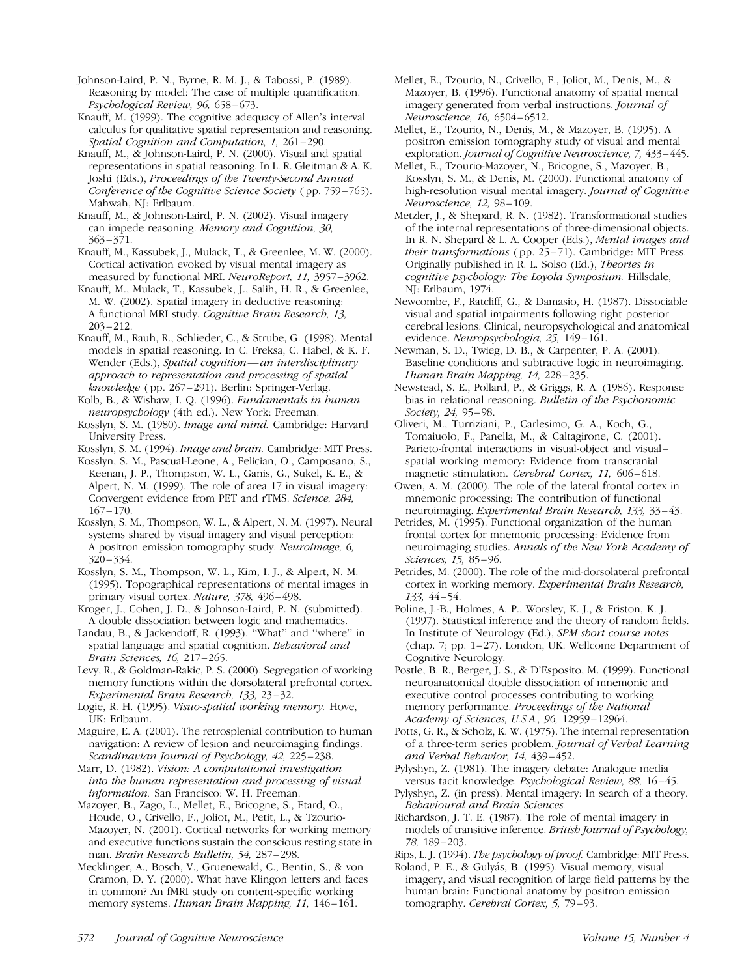Johnson-Laird, P. N., Byrne, R. M. J., & Tabossi, P. (1989). Reasoning by model: The case of multiple quantification. Psychological Review, 96, 658–673.

Knauff, M. (1999). The cognitive adequacy of Allen's interval calculus for qualitative spatial representation and reasoning. Spatial Cognition and Computation, 1, 261–290.

Knauff, M., & Johnson-Laird, P. N. (2000). Visual and spatial representations in spatial reasoning. In L. R. Gleitman & A. K. Joshi (Eds.), Proceedings of the Twenty-Second Annual Conference of the Cognitive Science Society ( pp. 759–765). Mahwah, NJ: Erlbaum.

Knauff, M., & Johnson-Laird, P. N. (2002). Visual imagery can impede reasoning. Memory and Cognition, 30, 363–371.

Knauff, M., Kassubek, J., Mulack, T., & Greenlee, M. W. (2000). Cortical activation evoked by visual mental imagery as measured by functional MRI. NeuroReport, 11, 3957–3962.

Knauff, M., Mulack, T., Kassubek, J., Salih, H. R., & Greenlee, M. W. (2002). Spatial imagery in deductive reasoning: A functional MRI study. Cognitive Brain Research, 13, 203–212.

Knauff, M., Rauh, R., Schlieder, C., & Strube, G. (1998). Mental models in spatial reasoning. In C. Freksa, C. Habel, & K. F. Wender (Eds.), Spatial cognition—an interdisciplinary approach to representation and processing of spatial knowledge ( pp. 267–291). Berlin: Springer-Verlag.

Kolb, B., & Wishaw, I. Q. (1996). Fundamentals in human neuropsychology (4th ed.). New York: Freeman.

Kosslyn, S. M. (1980). Image and mind. Cambridge: Harvard University Press.

Kosslyn, S. M. (1994). Image and brain. Cambridge: MIT Press.

Kosslyn, S. M., Pascual-Leone, A., Felician, O., Camposano, S., Keenan, J. P., Thompson, W. L., Ganis, G., Sukel, K. E., & Alpert, N. M. (1999). The role of area 17 in visual imagery: Convergent evidence from PET and rTMS. Science, 284, 167–170.

Kosslyn, S. M., Thompson, W. L., & Alpert, N. M. (1997). Neural systems shared by visual imagery and visual perception: A positron emission tomography study. Neuroimage, 6, 320–334.

Kosslyn, S. M., Thompson, W. L., Kim, I. J., & Alpert, N. M. (1995). Topographical representations of mental images in primary visual cortex. Nature, 378, 496–498.

Kroger, J., Cohen, J. D., & Johnson-Laird, P. N. (submitted). A double dissociation between logic and mathematics.

Landau, B., & Jackendoff, R. (1993). ''What'' and ''where'' in spatial language and spatial cognition. Behavioral and Brain Sciences, 16, 217–265.

Levy, R., & Goldman-Rakic, P. S. (2000). Segregation of working memory functions within the dorsolateral prefrontal cortex. Experimental Brain Research, 133, 23–32.

Logie, R. H. (1995). Visuo-spatial working memory. Hove, UK: Erlbaum.

Maguire, E. A. (2001). The retrosplenial contribution to human navigation: A review of lesion and neuroimaging findings. Scandinavian Journal of Psychology, 42, 225–238.

Marr, D. (1982). Vision: A computational investigation into the human representation and processing of visual information. San Francisco: W. H. Freeman.

Mazoyer, B., Zago, L., Mellet, E., Bricogne, S., Etard, O., Houde, O., Crivello, F., Joliot, M., Petit, L., & Tzourio-Mazoyer, N. (2001). Cortical networks for working memory and executive functions sustain the conscious resting state in man. Brain Research Bulletin, 54, 287–298.

Mecklinger, A., Bosch, V., Gruenewald, C., Bentin, S., & von Cramon, D. Y. (2000). What have Klingon letters and faces in common? An fMRI study on content-specific working memory systems. Human Brain Mapping, 11, 146–161.

Mellet, E., Tzourio, N., Crivello, F., Joliot, M., Denis, M., & Mazoyer, B. (1996). Functional anatomy of spatial mental imagery generated from verbal instructions. Journal of Neuroscience, 16, 6504–6512.

Mellet, E., Tzourio, N., Denis, M., & Mazoyer, B. (1995). A positron emission tomography study of visual and mental exploration. Journal of Cognitive Neuroscience, 7, 433–445.

Mellet, E., Tzourio-Mazoyer, N., Bricogne, S., Mazoyer, B., Kosslyn, S. M., & Denis, M. (2000). Functional anatomy of high-resolution visual mental imagery. Journal of Cognitive Neuroscience, 12, 98–109.

Metzler, J., & Shepard, R. N. (1982). Transformational studies of the internal representations of three-dimensional objects. In R. N. Shepard & L. A. Cooper (Eds.), Mental images and their transformations (pp. 25-71). Cambridge: MIT Press. Originally published in R. L. Solso (Ed.), Theories in cognitive psychology: The Loyola Symposium. Hillsdale, NJ: Erlbaum, 1974.

Newcombe, F., Ratcliff, G., & Damasio, H. (1987). Dissociable visual and spatial impairments following right posterior cerebral lesions: Clinical, neuropsychological and anatomical evidence. Neuropsychologia, 25, 149–161.

Newman, S. D., Twieg, D. B., & Carpenter, P. A. (2001). Baseline conditions and subtractive logic in neuroimaging. Human Brain Mapping, 14, 228–235.

Newstead, S. E., Pollard, P., & Griggs, R. A. (1986). Response bias in relational reasoning. Bulletin of the Psychonomic Society, 24, 95–98.

Oliveri, M., Turriziani, P., Carlesimo, G. A., Koch, G., Tomaiuolo, F., Panella, M., & Caltagirone, C. (2001). Parieto-frontal interactions in visual-object and visual– spatial working memory: Evidence from transcranial magnetic stimulation. Cerebral Cortex, 11, 606–618.

Owen, A. M. (2000). The role of the lateral frontal cortex in mnemonic processing: The contribution of functional neuroimaging. Experimental Brain Research, 133, 33–43.

Petrides, M. (1995). Functional organization of the human frontal cortex for mnemonic processing: Evidence from neuroimaging studies. Annals of the New York Academy of Sciences, 15, 85–96.

Petrides, M. (2000). The role of the mid-dorsolateral prefrontal cortex in working memory. Experimental Brain Research, 133, 44–54.

Poline, J.-B., Holmes, A. P., Worsley, K. J., & Friston, K. J. (1997). Statistical inference and the theory of random fields. In Institute of Neurology (Ed.), SPM short course notes (chap. 7; pp. 1–27). London, UK: Wellcome Department of Cognitive Neurology.

Postle, B. R., Berger, J. S., & D'Esposito, M. (1999). Functional neuroanatomical double dissociation of mnemonic and executive control processes contributing to working memory performance. Proceedings of the National Academy of Sciences, U.S.A., 96, 12959–12964.

Potts, G. R., & Scholz, K. W. (1975). The internal representation of a three-term series problem. Journal of Verbal Learning and Verbal Behavior, 14, 439–452.

Pylyshyn, Z. (1981). The imagery debate: Analogue media versus tacit knowledge. Psychological Review, 88, 16–45.

Pylyshyn, Z. (in press). Mental imagery: In search of a theory. Behavioural and Brain Sciences.

Richardson, J. T. E. (1987). The role of mental imagery in models of transitive inference. British Journal of Psychology, 78, 189–203.

Rips, L. J. (1994). The psychology of proof. Cambridge: MIT Press.

Roland, P. E., & Gulyás, B. (1995). Visual memory, visual imagery, and visual recognition of large field patterns by the human brain: Functional anatomy by positron emission tomography. Cerebral Cortex, 5, 79–93.